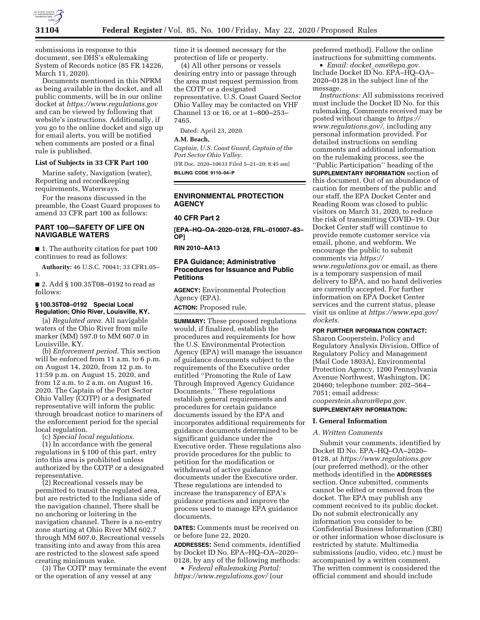

submissions in response to this document, see DHS's eRulemaking System of Records notice (85 FR 14226, March 11, 2020).

Documents mentioned in this NPRM as being available in the docket, and all public comments, will be in our online docket at *<https://www.regulations.gov>*  and can be viewed by following that website's instructions. Additionally, if you go to the online docket and sign up for email alerts, you will be notified when comments are posted or a final rule is published.

# **List of Subjects in 33 CFR Part 100**

Marine safety, Navigation (water), Reporting and recordkeeping requirements, Waterways.

For the reasons discussed in the preamble, the Coast Guard proposes to amend 33 CFR part 100 as follows:

# **PART 100—SAFETY OF LIFE ON NAVIGABLE WATERS**

■ 1. The authority citation for part 100 continues to read as follows:

**Authority:** 46 U.S.C. 70041; 33 CFR1.05– 1.

■ 2. Add § 100.35T08-0192 to read as follows:

### **§ 100.35T08–0192 Special Local Regulation; Ohio River, Louisville, KY.**

(a) *Regulated area.* All navigable waters of the Ohio River from mile marker (MM) 597.0 to MM 607.0 in Louisville, KY.

(b) *Enforcement period.* This section will be enforced from 11 a.m. to 6 p.m. on August 14, 2020, from 12 p.m. to 11:59 p.m. on August 15, 2020, and from 12 a.m. to 2 a.m. on August 16, 2020. The Captain of the Port Sector Ohio Valley (COTP) or a designated representative will inform the public through broadcast notice to mariners of the enforcement period for the special local regulation.

(c) *Special local regulations.* 

(1) In accordance with the general regulations in § 100 of this part, entry into this area is prohibited unless authorized by the COTP or a designated representative.

(2) Recreational vessels may be permitted to transit the regulated area, but are restricted to the Indiana side of the navigation channel. There shall be no anchoring or loitering in the navigation channel. There is a no-entry zone starting at Ohio River MM 602.7 through MM 607.0. Recreational vessels transiting into and away from this area are restricted to the slowest safe speed creating minimum wake.

(3) The COTP may terminate the event or the operation of any vessel at any

time it is deemed necessary for the protection of life or property.

(4) All other persons or vessels desiring entry into or passage through the area must request permission from the COTP or a designated representative. U.S. Coast Guard Sector Ohio Valley may be contacted on VHF Channel 13 or 16, or at 1–800–253– 7465.

Dated: April 23, 2020.

**A.M. Beach,** 

*Captain, U.S. Coast Guard, Captain of the Port Sector Ohio Valley.* 

[FR Doc. 2020–10633 Filed 5–21–20; 8:45 am] **BILLING CODE 9110–04–P** 

#### **ENVIRONMENTAL PROTECTION AGENCY**

# **40 CFR Part 2**

**[EPA–HQ–OA–2020–0128, FRL–010007–83– OP]** 

#### **RIN 2010–AA13**

# **EPA Guidance; Administrative Procedures for Issuance and Public Petitions**

**AGENCY:** Environmental Protection Agency (EPA).

**ACTION:** Proposed rule.

**SUMMARY:** These proposed regulations would, if finalized, establish the procedures and requirements for how the U.S. Environmental Protection Agency (EPA) will manage the issuance of guidance documents subject to the requirements of the Executive order entitled ''Promoting the Rule of Law Through Improved Agency Guidance Documents.'' These regulations establish general requirements and procedures for certain guidance documents issued by the EPA and incorporates additional requirements for guidance documents determined to be significant guidance under the Executive order. These regulations also provide procedures for the public to petition for the modification or withdrawal of active guidance documents under the Executive order. These regulations are intended to increase the transparency of EPA's guidance practices and improve the process used to manage EPA guidance documents.

**DATES:** Comments must be received on or before June 22, 2020.

**ADDRESSES:** Send comments, identified by Docket ID No. EPA–HQ–OA–2020– 0128, by any of the following methods:

• *Federal eRulemaking Portal: <https://www.regulations.gov/>*(our preferred method). Follow the online instructions for submitting comments.

• *Email: docket*\_*[oms@epa.gov.](mailto:docket_oms@epa.gov)*  Include Docket ID No. EPA–HQ–OA– 2020–0128 in the subject line of the message.

*Instructions:* All submissions received must include the Docket ID No. for this rulemaking. Comments received may be posted without change to *[https://](https://www.regulations.gov/) [www.regulations.gov/,](https://www.regulations.gov/)* including any personal information provided. For detailed instructions on sending comments and additional information on the rulemaking process, see the ''Public Participation'' heading of the **SUPPLEMENTARY INFORMATION** section of this document. Out of an abundance of caution for members of the public and our staff, the EPA Docket Center and Reading Room was closed to public visitors on March 31, 2020, to reduce the risk of transmitting COVID–19. Our Docket Center staff will continue to provide remote customer service via email, phone, and webform. We encourage the public to submit comments via *[https://](https://www.regulations.gov) [www.regulations.gov](https://www.regulations.gov)* or email, as there is a temporary suspension of mail delivery to EPA, and no hand deliveries are currently accepted. For further information on EPA Docket Center services and the current status, please visit us online at *[https://www.epa.gov/](https://www.epa.gov/dockets) [dockets.](https://www.epa.gov/dockets)* 

**FOR FURTHER INFORMATION CONTACT:** 

Sharon Cooperstein, Policy and Regulatory Analysis Division, Office of Regulatory Policy and Management (Mail Code 1803A), Environmental Protection Agency, 1200 Pennsylvania Avenue Northwest, Washington, DC 20460; telephone number: 202–564– 7051; email address: *[cooperstein.sharon@epa.gov.](mailto:cooperstein.sharon@epa.gov)* 

**SUPPLEMENTARY INFORMATION:** 

# **I. General Information**

# *A. Written Comments*

Submit your comments, identified by Docket ID No. EPA–HQ–OA–2020– 0128, at *<https://www.regulations.gov>*  (our preferred method), or the other methods identified in the **ADDRESSES** section. Once submitted, comments cannot be edited or removed from the docket. The EPA may publish any comment received to its public docket. Do not submit electronically any information you consider to be Confidential Business Information (CBI) or other information whose disclosure is restricted by statute. Multimedia submissions (audio, video, etc.) must be accompanied by a written comment. The written comment is considered the official comment and should include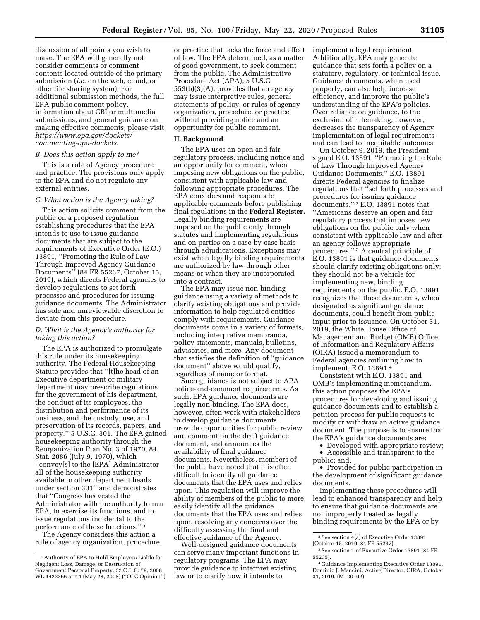discussion of all points you wish to make. The EPA will generally not consider comments or comment contents located outside of the primary submission (*i.e.* on the web, cloud, or other file sharing system). For additional submission methods, the full EPA public comment policy, information about CBI or multimedia submissions, and general guidance on making effective comments, please visit *[https://www.epa.gov/dockets/](https://www.epa.gov/dockets/commenting-epa-dockets)  [commenting-epa-dockets.](https://www.epa.gov/dockets/commenting-epa-dockets)* 

# *B. Does this action apply to me?*

This is a rule of Agency procedure and practice. The provisions only apply to the EPA and do not regulate any external entities.

#### *C. What action is the Agency taking?*

This action solicits comment from the public on a proposed regulation establishing procedures that the EPA intends to use to issue guidance documents that are subject to the requirements of Executive Order (E.O.) 13891, ''Promoting the Rule of Law Through Improved Agency Guidance Documents'' (84 FR 55237, October 15, 2019), which directs Federal agencies to develop regulations to set forth processes and procedures for issuing guidance documents. The Administrator has sole and unreviewable discretion to deviate from this procedure.

# *D. What is the Agency's authority for taking this action?*

The EPA is authorized to promulgate this rule under its housekeeping authority. The Federal Housekeeping Statute provides that ''[t]he head of an Executive department or military department may prescribe regulations for the government of his department, the conduct of its employees, the distribution and performance of its business, and the custody, use, and preservation of its records, papers, and property.'' 5 U.S.C. 301. The EPA gained housekeeping authority through the Reorganization Plan No. 3 of 1970, 84 Stat. 2086 (July 9, 1970), which ''convey[s] to the [EPA] Administrator all of the housekeeping authority available to other department heads under section 301'' and demonstrates that ''Congress has vested the Administrator with the authority to run EPA, to exercise its functions, and to issue regulations incidental to the performance of those functions.'' 1

The Agency considers this action a rule of agency organization, procedure,

or practice that lacks the force and effect of law. The EPA determined, as a matter of good government, to seek comment from the public. The Administrative Procedure Act (APA), 5 U.S.C. 553(b)(3)(A), provides that an agency may issue interpretive rules, general statements of policy, or rules of agency organization, procedure, or practice without providing notice and an opportunity for public comment.

# **II. Background**

The EPA uses an open and fair regulatory process, including notice and an opportunity for comment, when imposing new obligations on the public, consistent with applicable law and following appropriate procedures. The EPA considers and responds to applicable comments before publishing final regulations in the **Federal Register.**  Legally binding requirements are imposed on the public only through statutes and implementing regulations and on parties on a case-by-case basis through adjudications. Exceptions may exist when legally binding requirements are authorized by law through other means or when they are incorporated into a contract.

The EPA may issue non-binding guidance using a variety of methods to clarify existing obligations and provide information to help regulated entities comply with requirements. Guidance documents come in a variety of formats, including interpretive memoranda, policy statements, manuals, bulletins, advisories, and more. Any document that satisfies the definition of ''guidance document'' above would qualify, regardless of name or format.

Such guidance is not subject to APA notice-and-comment requirements. As such, EPA guidance documents are legally non-binding. The EPA does, however, often work with stakeholders to develop guidance documents, provide opportunities for public review and comment on the draft guidance document, and announces the availability of final guidance documents. Nevertheless, members of the public have noted that it is often difficult to identify all guidance documents that the EPA uses and relies upon. This regulation will improve the ability of members of the public to more easily identify all the guidance documents that the EPA uses and relies upon, resolving any concerns over the difficulty assessing the final and effective guidance of the Agency.

Well-designed guidance documents can serve many important functions in regulatory programs. The EPA may provide guidance to interpret existing law or to clarify how it intends to

implement a legal requirement. Additionally, EPA may generate guidance that sets forth a policy on a statutory, regulatory, or technical issue. Guidance documents, when used properly, can also help increase efficiency, and improve the public's understanding of the EPA's policies. Over reliance on guidance, to the exclusion of rulemaking, however, decreases the transparency of Agency implementation of legal requirements and can lead to inequitable outcomes.

On October 9, 2019, the President signed E.O. 13891, ''Promoting the Rule of Law Through Improved Agency Guidance Documents.'' E.O. 13891 directs Federal agencies to finalize regulations that ''set forth processes and procedures for issuing guidance documents.'' 2 E.O. 13891 notes that ''Americans deserve an open and fair regulatory process that imposes new obligations on the public only when consistent with applicable law and after an agency follows appropriate procedures.'' 3 A central principle of E.O. 13891 is that guidance documents should clarify existing obligations only; they should not be a vehicle for implementing new, binding requirements on the public. E.O. 13891 recognizes that these documents, when designated as significant guidance documents, could benefit from public input prior to issuance. On October 31, 2019, the White House Office of Management and Budget (OMB) Office of Information and Regulatory Affairs (OIRA) issued a memorandum to Federal agencies outlining how to implement, E.O. 13891.4

Consistent with E.O. 13891 and OMB's implementing memorandum, this action proposes the EPA's procedures for developing and issuing guidance documents and to establish a petition process for public requests to modify or withdraw an active guidance document. The purpose is to ensure that the EPA's guidance documents are:

• Developed with appropriate review; • Accessible and transparent to the public; and,

• Provided for public participation in the development of significant guidance documents.

Implementing these procedures will lead to enhanced transparency and help to ensure that guidance documents are not improperly treated as legally binding requirements by the EPA or by

<sup>1</sup>Authority of EPA to Hold Employees Liable for Negligent Loss, Damage, or Destruction of Government Personal Property, 32 O.L.C. 79, 2008 WL 4422366 at \* 4 (May 28, 2008) (''OLC Opinion'')

<sup>2</sup>See section 4(a) of Executive Order 13891 (October 15, 2019; 84 FR 55237).

<sup>3</sup>See section 1 of Executive Order 13891 (84 FR 55235).

<sup>4</sup> Guidance Implementing Executive Order 13891, Dominic J. Mancini, Acting Director, OIRA, October 31, 2019, (M–20–02).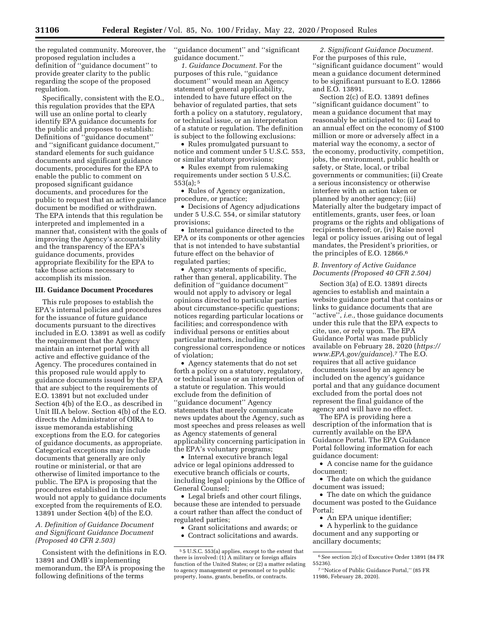the regulated community. Moreover, the proposed regulation includes a definition of ''guidance document'' to provide greater clarity to the public regarding the scope of the proposed regulation.

Specifically, consistent with the E.O., this regulation provides that the EPA will use an online portal to clearly identify EPA guidance documents for the public and proposes to establish: Definitions of ''guidance document'' and ''significant guidance document,'' standard elements for such guidance documents and significant guidance documents, procedures for the EPA to enable the public to comment on proposed significant guidance documents, and procedures for the public to request that an active guidance document be modified or withdrawn. The EPA intends that this regulation be interpreted and implemented in a manner that, consistent with the goals of improving the Agency's accountability and the transparency of the EPA's guidance documents, provides appropriate flexibility for the EPA to take those actions necessary to accomplish its mission.

# **III. Guidance Document Procedures**

This rule proposes to establish the EPA's internal policies and procedures for the issuance of future guidance documents pursuant to the directives included in E.O. 13891 as well as codify the requirement that the Agency maintain an internet portal with all active and effective guidance of the Agency. The procedures contained in this proposed rule would apply to guidance documents issued by the EPA that are subject to the requirements of E.O. 13891 but not excluded under Section 4(b) of the E.O., as described in Unit III.A below. Section 4(b) of the E.O. directs the Administrator of OIRA to issue memoranda establishing exceptions from the E.O. for categories of guidance documents, as appropriate. Categorical exceptions may include documents that generally are only routine or ministerial, or that are otherwise of limited importance to the public. The EPA is proposing that the procedures established in this rule would not apply to guidance documents excepted from the requirements of E.O. 13891 under Section 4(b) of the E.O.

# *A. Definition of Guidance Document and Significant Guidance Document (Proposed 40 CFR 2.503)*

Consistent with the definitions in E.O. 13891 and OMB's implementing memorandum, the EPA is proposing the following definitions of the terms

''guidance document'' and ''significant guidance document.''

*1. Guidance Document.* For the purposes of this rule, ''guidance document'' would mean an Agency statement of general applicability, intended to have future effect on the behavior of regulated parties, that sets forth a policy on a statutory, regulatory, or technical issue, or an interpretation of a statute or regulation. The definition is subject to the following exclusions:

• Rules promulgated pursuant to notice and comment under 5 U.S.C. 553, or similar statutory provisions;

• Rules exempt from rulemaking requirements under section 5 U.S.C.  $553(a);$ <sup>5</sup>

• Rules of Agency organization, procedure, or practice;

• Decisions of Agency adjudications under 5 U.S.C. 554, or similar statutory provisions;

• Internal guidance directed to the EPA or its components or other agencies that is not intended to have substantial future effect on the behavior of regulated parties;

• Agency statements of specific, rather than general, applicability. The definition of ''guidance document'' would not apply to advisory or legal opinions directed to particular parties about circumstance-specific questions; notices regarding particular locations or facilities; and correspondence with individual persons or entities about particular matters, including congressional correspondence or notices of violation;

• Agency statements that do not set forth a policy on a statutory, regulatory, or technical issue or an interpretation of a statute or regulation. This would exclude from the definition of ''guidance document'' Agency statements that merely communicate news updates about the Agency, such as most speeches and press releases as well as Agency statements of general applicability concerning participation in the EPA's voluntary programs;

• Internal executive branch legal advice or legal opinions addressed to executive branch officials or courts, including legal opinions by the Office of General Counsel;

• Legal briefs and other court filings, because these are intended to persuade a court rather than affect the conduct of regulated parties;

- Grant solicitations and awards; or
- Contract solicitations and awards.

*2. Significant Guidance Document.*  For the purposes of this rule, ''significant guidance document'' would mean a guidance document determined to be significant pursuant to E.O. 12866 and E.O. 13891.

Section 2(c) of E.O. 13891 defines ''significant guidance document'' to mean a guidance document that may reasonably be anticipated to: (i) Lead to an annual effect on the economy of \$100 million or more or adversely affect in a material way the economy, a sector of the economy, productivity, competition, jobs, the environment, public health or safety, or State, local, or tribal governments or communities; (ii) Create a serious inconsistency or otherwise interfere with an action taken or planned by another agency; (iii) Materially alter the budgetary impact of entitlements, grants, user fees, or loan programs or the rights and obligations of recipients thereof; or, (iv) Raise novel legal or policy issues arising out of legal mandates, the President's priorities, or the principles of E.O. 12866.6

# *B. Inventory of Active Guidance Documents (Proposed 40 CFR 2.504)*

Section 3(a) of E.O. 13891 directs agencies to establish and maintain a website guidance portal that contains or links to guidance documents that are ''active'', *i.e.,* those guidance documents under this rule that the EPA expects to cite, use, or rely upon. The EPA Guidance Portal was made publicly available on February 28, 2020 (*[https://](https://www.EPA.gov/guidance)  [www.EPA.gov/guidance](https://www.EPA.gov/guidance)*).7 The E.O. requires that all active guidance documents issued by an agency be included on the agency's guidance portal and that any guidance document excluded from the portal does not represent the final guidance of the agency and will have no effect.

The EPA is providing here a description of the information that is currently available on the EPA Guidance Portal. The EPA Guidance Portal following information for each guidance document:

• A concise name for the guidance document;

• The date on which the guidance document was issued;

• The date on which the guidance document was posted to the Guidance Portal;

• An EPA unique identifier;

• A hyperlink to the guidance document and any supporting or ancillary documents;

<sup>5</sup> 5 U.S.C. 553(a) applies, except to the extent that there is involved: (1) A military or foreign affairs function of the United States; or (2) a matter relating to agency management or personnel or to public property, loans, grants, benefits, or contracts.

<sup>6</sup>See section 2(c) of Executive Order 13891 (84 FR 55236).

<sup>7</sup> ''Notice of Public Guidance Portal,'' (85 FR 11986, February 28, 2020).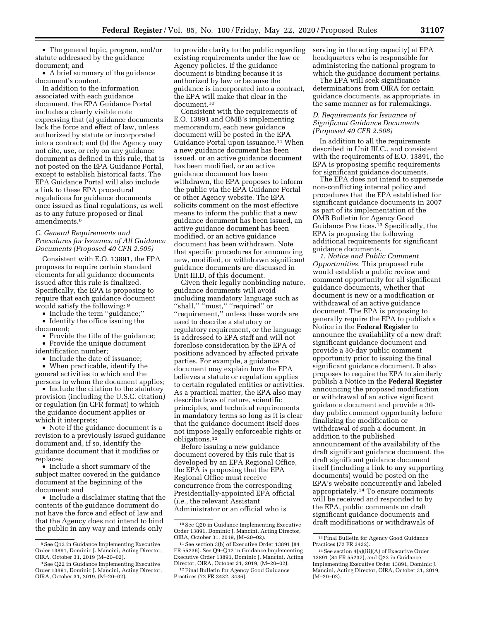• The general topic, program, and/or statute addressed by the guidance document; and

• A brief summary of the guidance document's content.

In addition to the information associated with each guidance document, the EPA Guidance Portal includes a clearly visible note expressing that (a) guidance documents lack the force and effect of law, unless authorized by statute or incorporated into a contract; and (b) the Agency may not cite, use, or rely on any guidance document as defined in this rule, that is not posted on the EPA Guidance Portal, except to establish historical facts. The EPA Guidance Portal will also include a link to these EPA procedural regulations for guidance documents once issued as final regulations, as well as to any future proposed or final amendments.8

# *C. General Requirements and Procedures for Issuance of All Guidance Documents (Proposed 40 CFR 2.505)*

Consistent with E.O. 13891, the EPA proposes to require certain standard elements for all guidance documents issued after this rule is finalized. Specifically, the EPA is proposing to require that each guidance document would satisfy the following: 9

• Include the term "guidance;" • Identify the office issuing the

document;

• Provide the title of the guidance; • Provide the unique document

identification number;

• Include the date of issuance;

• When practicable, identify the general activities to which and the persons to whom the document applies;

• Include the citation to the statutory provision (including the U.S.C. citation) or regulation (in CFR format) to which the guidance document applies or which it interprets;

• Note if the guidance document is a revision to a previously issued guidance document and, if so, identify the guidance document that it modifies or replaces;

• Include a short summary of the subject matter covered in the guidance document at the beginning of the document; and

• Include a disclaimer stating that the contents of the guidance document do not have the force and effect of law and that the Agency does not intend to bind the public in any way and intends only

to provide clarity to the public regarding existing requirements under the law or Agency policies. If the guidance document is binding because it is authorized by law or because the guidance is incorporated into a contract, the EPA will make that clear in the document.10

Consistent with the requirements of E.O. 13891 and OMB's implementing memorandum, each new guidance document will be posted in the EPA Guidance Portal upon issuance.<sup>11</sup> When a new guidance document has been issued, or an active guidance document has been modified, or an active guidance document has been withdrawn, the EPA proposes to inform the public via the EPA Guidance Portal or other Agency website. The EPA solicits comment on the most effective means to inform the public that a new guidance document has been issued, an active guidance document has been modified, or an active guidance document has been withdrawn. Note that specific procedures for announcing new, modified, or withdrawn significant guidance documents are discussed in Unit III.D. of this document.

Given their legally nonbinding nature, guidance documents will avoid including mandatory language such as ''shall,'' ''must,'' ''required'' or ''requirement,'' unless these words are used to describe a statutory or regulatory requirement, or the language is addressed to EPA staff and will not foreclose consideration by the EPA of positions advanced by affected private parties. For example, a guidance document may explain how the EPA believes a statute or regulation applies to certain regulated entities or activities. As a practical matter, the EPA also may describe laws of nature, scientific principles, and technical requirements in mandatory terms so long as it is clear that the guidance document itself does not impose legally enforceable rights or obligations.12

Before issuing a new guidance document covered by this rule that is developed by an EPA Regional Office, the EPA is proposing that the EPA Regional Office must receive concurrence from the corresponding Presidentially-appointed EPA official (*i.e.,* the relevant Assistant Administrator or an official who is

serving in the acting capacity) at EPA headquarters who is responsible for administering the national program to which the guidance document pertains.

The EPA will seek significance determinations from OIRA for certain guidance documents, as appropriate, in the same manner as for rulemakings.

# *D. Requirements for Issuance of Significant Guidance Documents (Proposed 40 CFR 2.506)*

In addition to all the requirements described in Unit III.C., and consistent with the requirements of E.O. 13891, the EPA is proposing specific requirements for significant guidance documents.

The EPA does not intend to supersede non-conflicting internal policy and procedures that the EPA established for significant guidance documents in 2007 as part of its implementation of the OMB Bulletin for Agency Good Guidance Practices.13 Specifically, the EPA is proposing the following additional requirements for significant guidance documents.

*1. Notice and Public Comment Opportunities.* This proposed rule would establish a public review and comment opportunity for all significant guidance documents, whether that document is new or a modification or withdrawal of an active guidance document. The EPA is proposing to generally require the EPA to publish a Notice in the **Federal Register** to announce the availability of a new draft significant guidance document and provide a 30-day public comment opportunity prior to issuing the final significant guidance document. It also proposes to require the EPA to similarly publish a Notice in the **Federal Register**  announcing the proposed modification or withdrawal of an active significant guidance document and provide a 30 day public comment opportunity before finalizing the modification or withdrawal of such a document. In addition to the published announcement of the availability of the draft significant guidance document, the draft significant guidance document itself (including a link to any supporting documents) would be posted on the EPA's website concurrently and labeled appropriately.14 To ensure comments will be received and responded to by the EPA, public comments on draft significant guidance documents and draft modifications or withdrawals of

 $^{\rm 8}$  See Q12 in Guidance Implementing Executive Order 13891, Dominic J. Mancini, Acting Director, OIRA, October 31, 2019 (M–20–02).

<sup>9</sup>See Q22 in Guidance Implementing Executive Order 13891, Dominic J. Mancini, Acting Director, OIRA, October 31, 2019, (M–20–02).

<sup>10</sup>See Q20 in Guidance Implementing Executive Order 13891, Dominic J. Mancini, Acting Director, OIRA, October 31, 2019, (M–20–02).

<sup>11</sup>See section 3(b) of Executive Order 13891 (84 FR 55236). See Q9–Q12 in Guidance Implementing Executive Order 13891, Dominic J. Mancini, Acting Director, OIRA, October 31, 2019, (M–20–02).

<sup>12</sup>Final Bulletin for Agency Good Guidance Practices (72 FR 3432, 3436).

<sup>13</sup>Final Bulletin for Agency Good Guidance Practices (72 FR 3432).

<sup>14</sup>See section 4(a)(iii)(A) of Executive Order 13891 (84 FR 55237), and Q23 in Guidance Implementing Executive Order 13891, Dominic J. Mancini, Acting Director, OIRA, October 31, 2019, (M–20–02).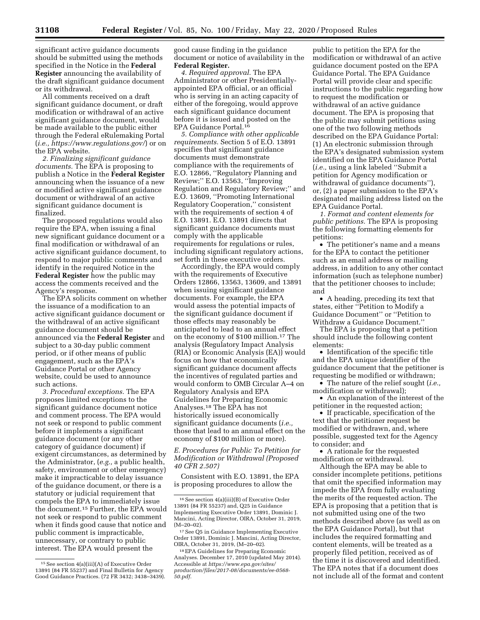significant active guidance documents should be submitted using the methods specified in the Notice in the **Federal Register** announcing the availability of the draft significant guidance document or its withdrawal.

All comments received on a draft significant guidance document, or draft modification or withdrawal of an active significant guidance document, would be made available to the public either through the Federal eRulemaking Portal (*i.e.,<https://www.regulations.gov/>*) or on the EPA website.

*2. Finalizing significant guidance documents.* The EPA is proposing to publish a Notice in the **Federal Register**  announcing when the issuance of a new or modified active significant guidance document or withdrawal of an active significant guidance document is finalized.

The proposed regulations would also require the EPA, when issuing a final new significant guidance document or a final modification or withdrawal of an active significant guidance document, to respond to major public comments and identify in the required Notice in the **Federal Register** how the public may access the comments received and the Agency's response.

The EPA solicits comment on whether the issuance of a modification to an active significant guidance document or the withdrawal of an active significant guidance document should be announced via the **Federal Register** and subject to a 30-day public comment period, or if other means of public engagement, such as the EPA's Guidance Portal or other Agency website, could be used to announce such actions.

*3. Procedural exceptions.* The EPA proposes limited exceptions to the significant guidance document notice and comment process. The EPA would not seek or respond to public comment before it implements a significant guidance document (or any other category of guidance document) if exigent circumstances, as determined by the Administrator, (*e.g.,* a public health, safety, environment or other emergency) make it impracticable to delay issuance of the guidance document, or there is a statutory or judicial requirement that compels the EPA to immediately issue the document.15 Further, the EPA would not seek or respond to public comment when it finds good cause that notice and public comment is impracticable, unnecessary, or contrary to public interest. The EPA would present the

good cause finding in the guidance document or notice of availability in the **Federal Register.** 

*4. Required approval.* The EPA Administrator or other Presidentiallyappointed EPA official, or an official who is serving in an acting capacity of either of the foregoing, would approve each significant guidance document before it is issued and posted on the EPA Guidance Portal.16

*5. Compliance with other applicable requirements.* Section 5 of E.O. 13891 specifies that significant guidance documents must demonstrate compliance with the requirements of E.O. 12866, ''Regulatory Planning and Review;'' E.O. 13563, ''Improving Regulation and Regulatory Review;'' and E.O. 13609, ''Promoting International Regulatory Cooperation,'' consistent with the requirements of section 4 of E.O. 13891. E.O. 13891 directs that significant guidance documents must comply with the applicable requirements for regulations or rules, including significant regulatory actions, set forth in these executive orders.

Accordingly, the EPA would comply with the requirements of Executive Orders 12866, 13563, 13609, and 13891 when issuing significant guidance documents. For example, the EPA would assess the potential impacts of the significant guidance document if those effects may reasonably be anticipated to lead to an annual effect on the economy of \$100 million.17 The analysis (Regulatory Impact Analysis (RIA) or Economic Analysis (EA)) would focus on how that economically significant guidance document affects the incentives of regulated parties and would conform to OMB Circular A–4 on Regulatory Analysis and EPA Guidelines for Preparing Economic Analyses.18 The EPA has not historically issued economically significant guidance documents (*i.e.,*  those that lead to an annual effect on the economy of \$100 million or more).

*E. Procedures for Public To Petition for Modification or Withdrawal (Proposed 40 CFR 2.507)* 

Consistent with E.O. 13891, the EPA is proposing procedures to allow the

public to petition the EPA for the modification or withdrawal of an active guidance document posted on the EPA Guidance Portal. The EPA Guidance Portal will provide clear and specific instructions to the public regarding how to request the modification or withdrawal of an active guidance document. The EPA is proposing that the public may submit petitions using one of the two following methods described on the EPA Guidance Portal: (1) An electronic submission through the EPA's designated submission system identified on the EPA Guidance Portal (*i.e.,* using a link labeled ''Submit a petition for Agency modification or withdrawal of guidance documents''), or, (2) a paper submission to the EPA's designated mailing address listed on the EPA Guidance Portal.

*1. Format and content elements for public petitions.* The EPA is proposing the following formatting elements for petitions:

• The petitioner's name and a means for the EPA to contact the petitioner such as an email address or mailing address, in addition to any other contact information (such as telephone number) that the petitioner chooses to include; and

• A heading, preceding its text that states, either ''Petition to Modify a Guidance Document'' or ''Petition to Withdraw a Guidance Document.''

The EPA is proposing that a petition should include the following content elements:

• Identification of the specific title and the EPA unique identifier of the guidance document that the petitioner is requesting be modified or withdrawn;

• The nature of the relief sought (*i.e.,*  modification or withdrawal);

• An explanation of the interest of the petitioner in the requested action;

• If practicable, specification of the text that the petitioner request be modified or withdrawn, and, where possible, suggested text for the Agency to consider; and

• A rationale for the requested modification or withdrawal.

Although the EPA may be able to consider incomplete petitions, petitions that omit the specified information may impede the EPA from fully evaluating the merits of the requested action. The EPA is proposing that a petition that is not submitted using one of the two methods described above (as well as on the EPA Guidance Portal), but that includes the required formatting and content elements, will be treated as a properly filed petition, received as of the time it is discovered and identified. The EPA notes that if a document does not include all of the format and content

<sup>15</sup>See section 4(a)(iii)(A) of Executive Order 13891 (84 FR 55237) and Final Bulletin for Agency Good Guidance Practices. (72 FR 3432; 3438–3439).

<sup>16</sup>See section 4(a)(iii)(B) of Executive Order 13891 (84 FR 55237) and, Q25 in Guidance Implementing Executive Order 13891, Dominic J. Mancini, Acting Director, OIRA, October 31, 2019,  $(M-20-02)$ .

<sup>17</sup>See Q5 in Guidance Implementing Executive Order 13891, Dominic J. Mancini, Acting Director, OIRA, October 31, 2019, (M–20–02).

<sup>18</sup>EPA Guidelines for Preparing Economic Analyses. December 17, 2010 (updated May 2014). Accessible at *[https://www.epa.gov/sites/](https://www.epa.gov/sites/production/files/2017-08/documents/ee-0568-50.pdf)  [production/files/2017-08/documents/ee-0568-](https://www.epa.gov/sites/production/files/2017-08/documents/ee-0568-50.pdf) [50.pdf.](https://www.epa.gov/sites/production/files/2017-08/documents/ee-0568-50.pdf)*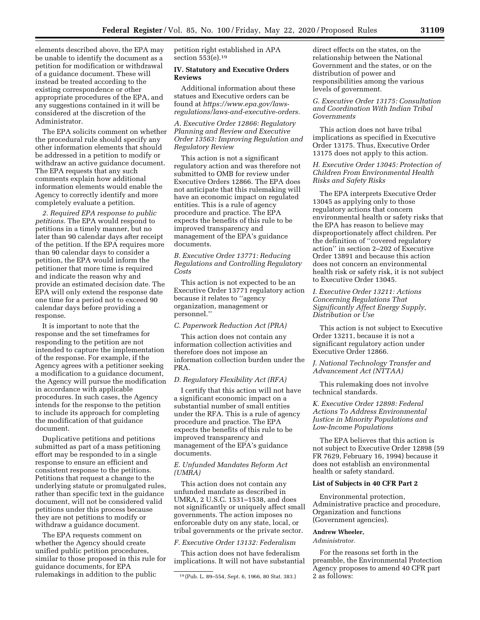elements described above, the EPA may be unable to identify the document as a petition for modification or withdrawal of a guidance document. These will instead be treated according to the existing correspondence or other appropriate procedures of the EPA, and any suggestions contained in it will be considered at the discretion of the Administrator.

The EPA solicits comment on whether the procedural rule should specify any other information elements that should be addressed in a petition to modify or withdraw an active guidance document. The EPA requests that any such comments explain how additional information elements would enable the Agency to correctly identify and more completely evaluate a petition.

*2. Required EPA response to public petitions.* The EPA would respond to petitions in a timely manner, but no later than 90 calendar days after receipt of the petition. If the EPA requires more than 90 calendar days to consider a petition, the EPA would inform the petitioner that more time is required and indicate the reason why and provide an estimated decision date. The EPA will only extend the response date one time for a period not to exceed 90 calendar days before providing a response.

It is important to note that the response and the set timeframes for responding to the petition are not intended to capture the implementation of the response. For example, if the Agency agrees with a petitioner seeking a modification to a guidance document, the Agency will pursue the modification in accordance with applicable procedures. In such cases, the Agency intends for the response to the petition to include its approach for completing the modification of that guidance document.

Duplicative petitions and petitions submitted as part of a mass petitioning effort may be responded to in a single response to ensure an efficient and consistent response to the petitions. Petitions that request a change to the underlying statute or promulgated rules, rather than specific text in the guidance document, will not be considered valid petitions under this process because they are not petitions to modify or withdraw a guidance document.

The EPA requests comment on whether the Agency should create unified public petition procedures, similar to those proposed in this rule for guidance documents, for EPA rulemakings in addition to the public

petition right established in APA section 553(e).19

# **IV. Statutory and Executive Orders Reviews**

Additional information about these statues and Executive orders can be found at *[https://www.epa.gov/laws](https://www.epa.gov/laws-regulations/laws-and-executive-orders)[regulations/laws-and-executive-orders.](https://www.epa.gov/laws-regulations/laws-and-executive-orders)* 

*A. Executive Order 12866: Regulatory Planning and Review and Executive Order 13563: Improving Regulation and Regulatory Review* 

This action is not a significant regulatory action and was therefore not submitted to OMB for review under Executive Orders 12866. The EPA does not anticipate that this rulemaking will have an economic impact on regulated entities. This is a rule of agency procedure and practice. The EPA expects the benefits of this rule to be improved transparency and management of the EPA's guidance documents.

*B. Executive Order 13771: Reducing Regulations and Controlling Regulatory Costs* 

This action is not expected to be an Executive Order 13771 regulatory action because it relates to ''agency organization, management or personnel.''

### *C. Paperwork Reduction Act (PRA)*

This action does not contain any information collection activities and therefore does not impose an information collection burden under the PRA.

#### *D. Regulatory Flexibility Act (RFA)*

I certify that this action will not have a significant economic impact on a substantial number of small entities under the RFA. This is a rule of agency procedure and practice. The EPA expects the benefits of this rule to be improved transparency and management of the EPA's guidance documents.

# *E. Unfunded Mandates Reform Act (UMRA)*

This action does not contain any unfunded mandate as described in UMRA, 2 U.S.C. 1531–1538, and does not significantly or uniquely affect small governments. The action imposes no enforceable duty on any state, local, or tribal governments or the private sector.

#### *F. Executive Order 13132: Federalism*

This action does not have federalism implications. It will not have substantial

direct effects on the states, on the relationship between the National Government and the states, or on the distribution of power and responsibilities among the various levels of government.

*G. Executive Order 13175: Consultation and Coordination With Indian Tribal Governments* 

This action does not have tribal implications as specified in Executive Order 13175. Thus, Executive Order 13175 does not apply to this action.

# *H. Executive Order 13045: Protection of Children From Environmental Health Risks and Safety Risks*

The EPA interprets Executive Order 13045 as applying only to those regulatory actions that concern environmental health or safety risks that the EPA has reason to believe may disproportionately affect children. Per the definition of ''covered regulatory action'' in section 2–202 of Executive Order 13891 and because this action does not concern an environmental health risk or safety risk, it is not subject to Executive Order 13045.

*I. Executive Order 13211: Actions Concerning Regulations That Significantly Affect Energy Supply, Distribution or Use* 

This action is not subject to Executive Order 13211, because it is not a significant regulatory action under Executive Order 12866.

## *J. National Technology Transfer and Advancement Act (NTTAA)*

This rulemaking does not involve technical standards.

*K. Executive Order 12898: Federal Actions To Address Environmental Justice in Minority Populations and Low-Income Populations* 

The EPA believes that this action is not subject to Executive Order 12898 (59 FR 7629, February 16, 1994) because it does not establish an environmental health or safety standard.

#### **List of Subjects in 40 CFR Part 2**

Environmental protection, Administrative practice and procedure, Organization and functions (Government agencies).

# **Andrew Wheeler,**

*Administrator.* 

For the reasons set forth in the preamble, the Environmental Protection Agency proposes to amend 40 CFR part 2 as follows:

<sup>19</sup> (Pub. L. 89–554, Sept. 6, 1966, 80 Stat. 383.)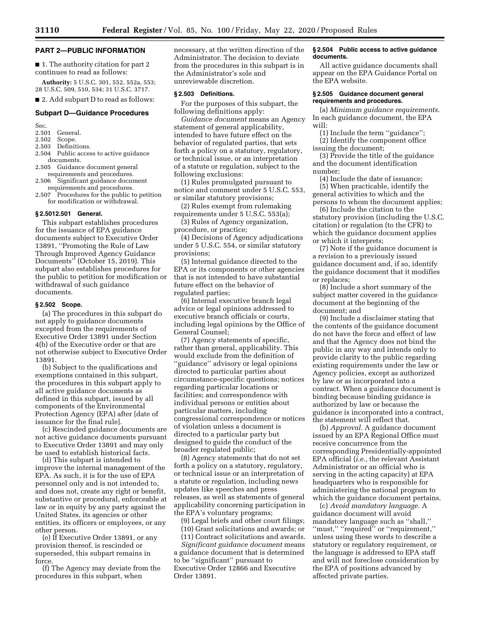#### **PART 2—PUBLIC INFORMATION**

■ 1. The authority citation for part 2 continues to read as follows:

**Authority:** 5 U.S.C. 301, 552, 552a, 553; 28 U.S.C. 509, 510, 534; 31 U.S.C. 3717.

■ 2. Add subpart D to read as follows:

# **Subpart D—Guidance Procedures**

Sec.<br>2.501

#### General.

- 2.502 Scope.<br>2.503 Defini
- Definitions. 2.504 Public access to active guidance
- documents. 2.505 Guidance document general
- requirements and procedures. 2.506 Significant guidance document
- requirements and procedures.
- 2.507 Procedures for the public to petition for modification or withdrawal.

# **§ 2.5012.501 General.**

This subpart establishes procedures for the issuance of EPA guidance documents subject to Executive Order 13891, ''Promoting the Rule of Law Through Improved Agency Guidance Documents'' (October 15, 2019). This subpart also establishes procedures for the public to petition for modification or withdrawal of such guidance documents.

#### **§ 2.502 Scope.**

(a) The procedures in this subpart do not apply to guidance documents excepted from the requirements of Executive Order 13891 under Section 4(b) of the Executive order or that are not otherwise subject to Executive Order 13891.

(b) Subject to the qualifications and exemptions contained in this subpart, the procedures in this subpart apply to all active guidance documents as defined in this subpart, issued by all components of the Environmental Protection Agency (EPA) after [date of issuance for the final rule].

(c) Rescinded guidance documents are not active guidance documents pursuant to Executive Order 13891 and may only be used to establish historical facts.

(d) This subpart is intended to improve the internal management of the EPA. As such, it is for the use of EPA personnel only and is not intended to, and does not, create any right or benefit, substantive or procedural, enforceable at law or in equity by any party against the United States, its agencies or other entities, its officers or employees, or any other person.

(e) If Executive Order 13891, or any provision thereof, is rescinded or superseded, this subpart remains in force.

(f) The Agency may deviate from the procedures in this subpart, when

necessary, at the written direction of the Administrator. The decision to deviate from the procedures in this subpart is in the Administrator's sole and unreviewable discretion.

#### **§ 2.503 Definitions.**

For the purposes of this subpart, the following definitions apply:

*Guidance document* means an Agency statement of general applicability, intended to have future effect on the behavior of regulated parties, that sets forth a policy on a statutory, regulatory, or technical issue, or an interpretation of a statute or regulation, subject to the following exclusions:

(1) Rules promulgated pursuant to notice and comment under 5 U.S.C. 553, or similar statutory provisions;

(2) Rules exempt from rulemaking requirements under 5 U.S.C. 553(a);

(3) Rules of Agency organization, procedure, or practice;

(4) Decisions of Agency adjudications under 5 U.S.C. 554, or similar statutory provisions;

(5) Internal guidance directed to the EPA or its components or other agencies that is not intended to have substantial future effect on the behavior of regulated parties;

(6) Internal executive branch legal advice or legal opinions addressed to executive branch officials or courts, including legal opinions by the Office of General Counsel;

(7) Agency statements of specific, rather than general, applicability. This would exclude from the definition of ''guidance'' advisory or legal opinions directed to particular parties about circumstance-specific questions; notices regarding particular locations or facilities; and correspondence with individual persons or entities about particular matters, including congressional correspondence or notices of violation unless a document is directed to a particular party but designed to guide the conduct of the broader regulated public;

(8) Agency statements that do not set forth a policy on a statutory, regulatory, or technical issue or an interpretation of a statute or regulation, including news updates like speeches and press releases, as well as statements of general applicability concerning participation in the EPA's voluntary programs;

(9) Legal briefs and other court filings;

(10) Grant solicitations and awards; or (11) Contract solicitations and awards.

*Significant guidance document* means a guidance document that is determined to be ''significant'' pursuant to Executive Order 12866 and Executive Order 13891.

# **§ 2.504 Public access to active guidance documents.**

All active guidance documents shall appear on the EPA Guidance Portal on the EPA website.

#### **§ 2.505 Guidance document general requirements and procedures.**

(a) *Minimum guidance requirements.*  In each guidance document, the EPA will:

(1) Include the term ''guidance''; (2) Identify the component office issuing the document;

(3) Provide the title of the guidance and the document identification number;

(4) Include the date of issuance;

(5) When practicable, identify the general activities to which and the persons to whom the document applies;

(6) Include the citation to the statutory provision (including the U.S.C. citation) or regulation (to the CFR) to which the guidance document applies or which it interprets;

(7) Note if the guidance document is a revision to a previously issued guidance document and, if so, identify the guidance document that it modifies or replaces;

(8) Include a short summary of the subject matter covered in the guidance document at the beginning of the document; and

(9) Include a disclaimer stating that the contents of the guidance document do not have the force and effect of law and that the Agency does not bind the public in any way and intends only to provide clarity to the public regarding existing requirements under the law or Agency policies, except as authorized by law or as incorporated into a contract. When a guidance document is binding because binding guidance is authorized by law or because the guidance is incorporated into a contract, the statement will reflect that.

(b) *Approval.* A guidance document issued by an EPA Regional Office must receive concurrence from the corresponding Presidentially-appointed EPA official (*i.e.,* the relevant Assistant Administrator or an official who is serving in the acting capacity) at EPA headquarters who is responsible for administering the national program to which the guidance document pertains.

(c) *Avoid mandatory language.* A guidance document will avoid mandatory language such as ''shall,'' ''must,'' ''required'' or ''requirement,'' unless using these words to describe a statutory or regulatory requirement, or the language is addressed to EPA staff and will not foreclose consideration by the EPA of positions advanced by affected private parties.